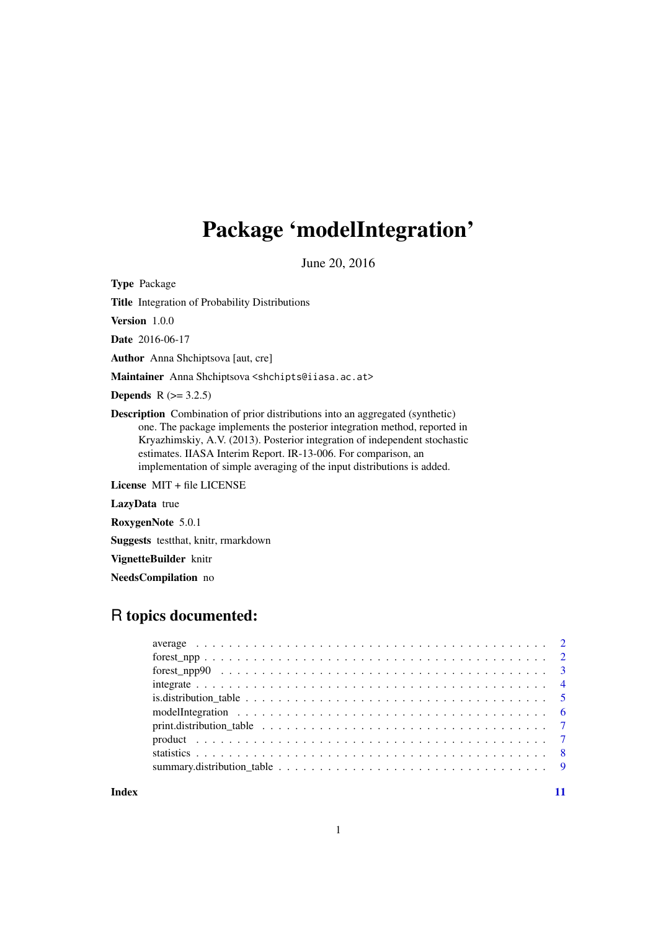## Package 'modelIntegration'

June 20, 2016

Type Package

Title Integration of Probability Distributions

Version 1.0.0

Date 2016-06-17

Author Anna Shchiptsova [aut, cre]

Maintainer Anna Shchiptsova <shchipts@iiasa.ac.at>

**Depends**  $R$  ( $> = 3.2.5$ )

Description Combination of prior distributions into an aggregated (synthetic) one. The package implements the posterior integration method, reported in Kryazhimskiy, A.V. (2013). Posterior integration of independent stochastic estimates. IIASA Interim Report. IR-13-006. For comparison, an implementation of simple averaging of the input distributions is added.

License MIT + file LICENSE

LazyData true

RoxygenNote 5.0.1

Suggests testthat, knitr, rmarkdown

VignetteBuilder knitr

NeedsCompilation no

### R topics documented:

**Index** [11](#page-10-0)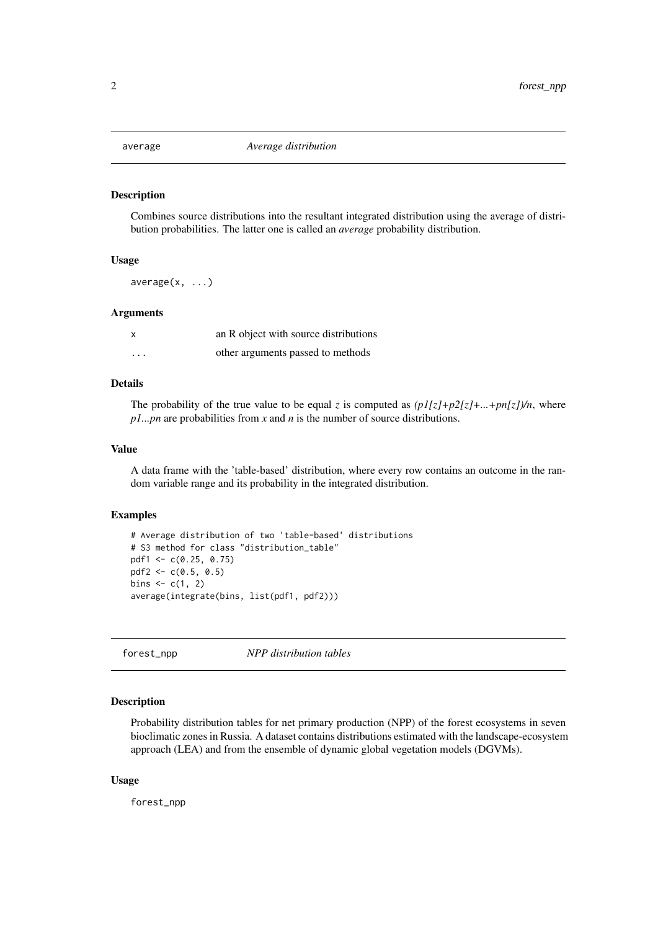<span id="page-1-1"></span><span id="page-1-0"></span>

#### Description

Combines source distributions into the resultant integrated distribution using the average of distribution probabilities. The latter one is called an *average* probability distribution.

#### Usage

 $average(x, \ldots)$ 

#### Arguments

| x        | an R object with source distributions |
|----------|---------------------------------------|
| $\cdots$ | other arguments passed to methods     |

#### Details

The probability of the true value to be equal *z* is computed as  $\left(\frac{pI}{z}+p2\right]z\right)+...+pn\left[\frac{z}{r}\right]$ , where *p1...pn* are probabilities from *x* and *n* is the number of source distributions.

#### Value

A data frame with the 'table-based' distribution, where every row contains an outcome in the random variable range and its probability in the integrated distribution.

#### Examples

```
# Average distribution of two 'table-based' distributions
# S3 method for class "distribution_table"
pdf1 <- c(0.25, 0.75)
pdf2 <- c(0.5, 0.5)
bins <- c(1, 2)average(integrate(bins, list(pdf1, pdf2)))
```
forest\_npp *NPP distribution tables*

#### Description

Probability distribution tables for net primary production (NPP) of the forest ecosystems in seven bioclimatic zones in Russia. A dataset contains distributions estimated with the landscape-ecosystem approach (LEA) and from the ensemble of dynamic global vegetation models (DGVMs).

#### Usage

forest\_npp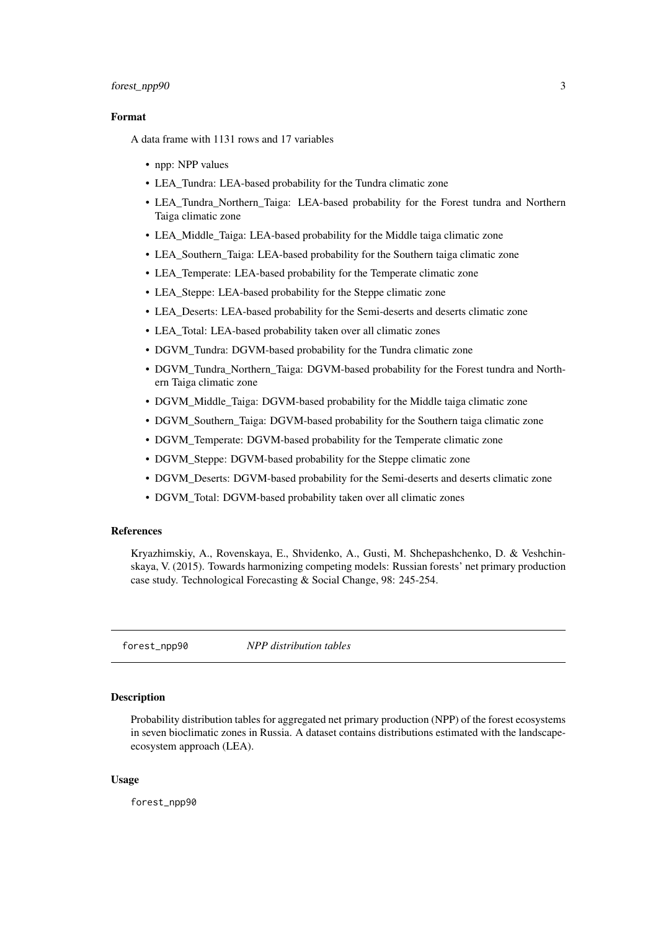#### <span id="page-2-0"></span>forest\_npp90 3

#### Format

A data frame with 1131 rows and 17 variables

- npp: NPP values
- LEA\_Tundra: LEA-based probability for the Tundra climatic zone
- LEA\_Tundra\_Northern\_Taiga: LEA-based probability for the Forest tundra and Northern Taiga climatic zone
- LEA\_Middle\_Taiga: LEA-based probability for the Middle taiga climatic zone
- LEA\_Southern\_Taiga: LEA-based probability for the Southern taiga climatic zone
- LEA\_Temperate: LEA-based probability for the Temperate climatic zone
- LEA\_Steppe: LEA-based probability for the Steppe climatic zone
- LEA\_Deserts: LEA-based probability for the Semi-deserts and deserts climatic zone
- LEA\_Total: LEA-based probability taken over all climatic zones
- DGVM Tundra: DGVM-based probability for the Tundra climatic zone
- DGVM\_Tundra\_Northern\_Taiga: DGVM-based probability for the Forest tundra and Northern Taiga climatic zone
- DGVM\_Middle\_Taiga: DGVM-based probability for the Middle taiga climatic zone
- DGVM Southern Taiga: DGVM-based probability for the Southern taiga climatic zone
- DGVM\_Temperate: DGVM-based probability for the Temperate climatic zone
- DGVM\_Steppe: DGVM-based probability for the Steppe climatic zone
- DGVM Deserts: DGVM-based probability for the Semi-deserts and deserts climatic zone
- DGVM Total: DGVM-based probability taken over all climatic zones

#### References

Kryazhimskiy, A., Rovenskaya, E., Shvidenko, A., Gusti, M. Shchepashchenko, D. & Veshchinskaya, V. (2015). Towards harmonizing competing models: Russian forests' net primary production case study. Technological Forecasting & Social Change, 98: 245-254.

forest\_npp90 *NPP distribution tables*

#### **Description**

Probability distribution tables for aggregated net primary production (NPP) of the forest ecosystems in seven bioclimatic zones in Russia. A dataset contains distributions estimated with the landscapeecosystem approach (LEA).

#### Usage

forest\_npp90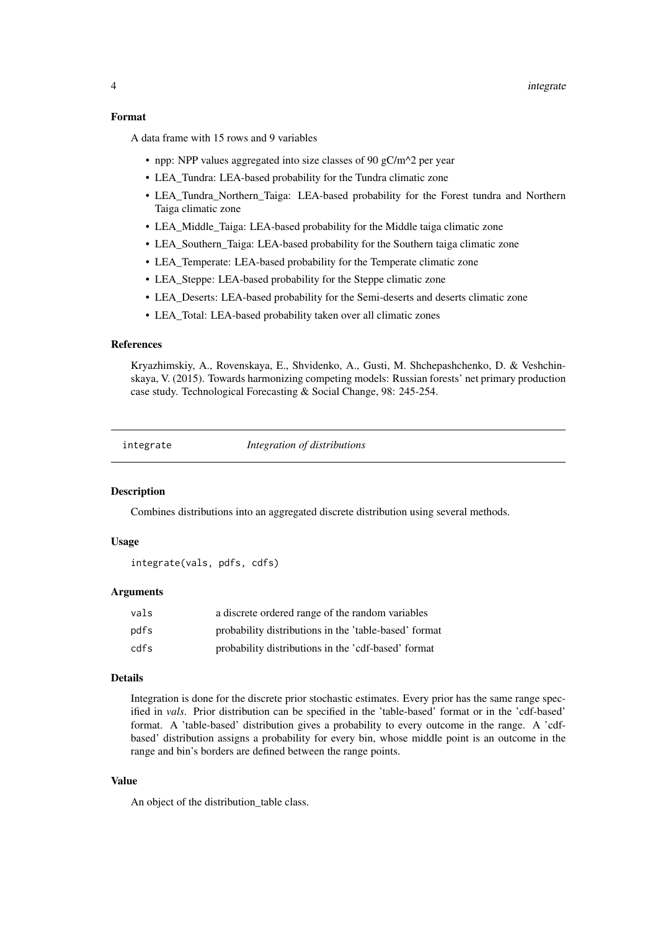#### <span id="page-3-0"></span>Format

A data frame with 15 rows and 9 variables

- npp: NPP values aggregated into size classes of 90 gC/m<sup> $\land$ 2</sup> per year
- LEA\_Tundra: LEA-based probability for the Tundra climatic zone
- LEA\_Tundra\_Northern\_Taiga: LEA-based probability for the Forest tundra and Northern Taiga climatic zone
- LEA\_Middle\_Taiga: LEA-based probability for the Middle taiga climatic zone
- LEA Southern Taiga: LEA-based probability for the Southern taiga climatic zone
- LEA\_Temperate: LEA-based probability for the Temperate climatic zone
- LEA\_Steppe: LEA-based probability for the Steppe climatic zone
- LEA\_Deserts: LEA-based probability for the Semi-deserts and deserts climatic zone
- LEA\_Total: LEA-based probability taken over all climatic zones

#### References

Kryazhimskiy, A., Rovenskaya, E., Shvidenko, A., Gusti, M. Shchepashchenko, D. & Veshchinskaya, V. (2015). Towards harmonizing competing models: Russian forests' net primary production case study. Technological Forecasting & Social Change, 98: 245-254.

<span id="page-3-1"></span>

integrate *Integration of distributions*

#### Description

Combines distributions into an aggregated discrete distribution using several methods.

#### Usage

```
integrate(vals, pdfs, cdfs)
```
#### Arguments

| vals | a discrete ordered range of the random variables      |
|------|-------------------------------------------------------|
| pdfs | probability distributions in the 'table-based' format |
| cdfs | probability distributions in the 'cdf-based' format   |

#### Details

Integration is done for the discrete prior stochastic estimates. Every prior has the same range specified in *vals*. Prior distribution can be specified in the 'table-based' format or in the 'cdf-based' format. A 'table-based' distribution gives a probability to every outcome in the range. A 'cdfbased' distribution assigns a probability for every bin, whose middle point is an outcome in the range and bin's borders are defined between the range points.

#### Value

An object of the distribution\_table class.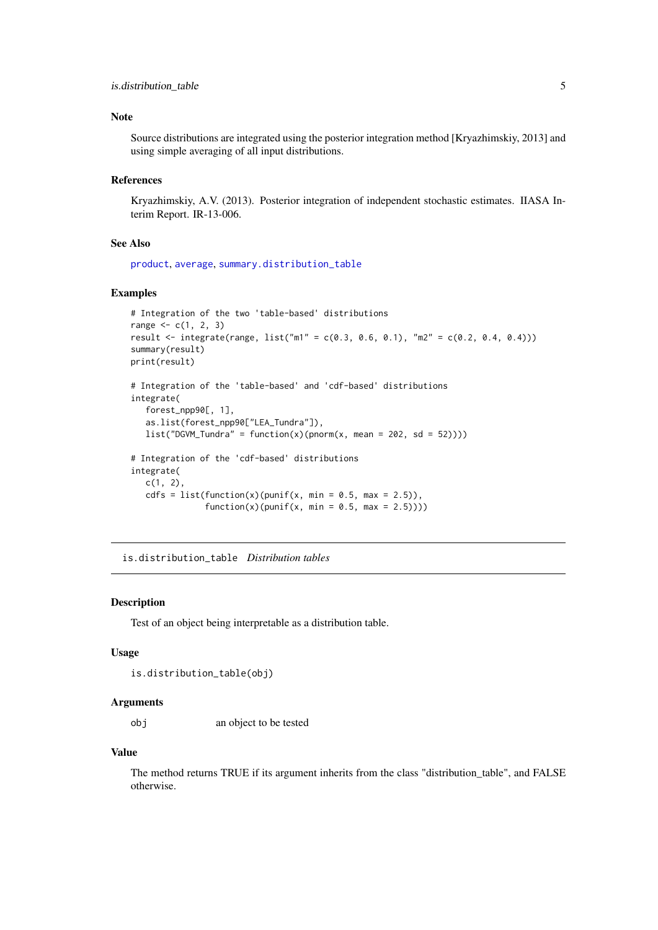#### <span id="page-4-0"></span>is.distribution\_table 5

#### Note

Source distributions are integrated using the posterior integration method [Kryazhimskiy, 2013] and using simple averaging of all input distributions.

#### References

Kryazhimskiy, A.V. (2013). Posterior integration of independent stochastic estimates. IIASA Interim Report. IR-13-006.

#### See Also

[product](#page-6-1), [average](#page-1-1), [summary.distribution\\_table](#page-8-1)

#### Examples

```
# Integration of the two 'table-based' distributions
range \leq -c(1, 2, 3)result <- integrate(range, list("m1" = c(0.3, 0.6, 0.1), "m2" = c(0.2, 0.4, 0.4)))
summary(result)
print(result)
# Integration of the 'table-based' and 'cdf-based' distributions
integrate(
   forest_npp90[, 1],
   as.list(forest_npp90["LEA_Tundra"]),
   list("DGVM_Tundra" = function(x)(pnorm(x, mean = 202, sd = 52))))# Integration of the 'cdf-based' distributions
integrate(
   c(1, 2),
   cdfs = list(function(x)(punif(x, min = 0.5, max = 2.5)),
               function(x)(punif(x, min = 0.5, max = 2.5))))
```
is.distribution\_table *Distribution tables*

#### Description

Test of an object being interpretable as a distribution table.

#### Usage

```
is.distribution_table(obj)
```
#### Arguments

obj an object to be tested

#### Value

The method returns TRUE if its argument inherits from the class "distribution\_table", and FALSE otherwise.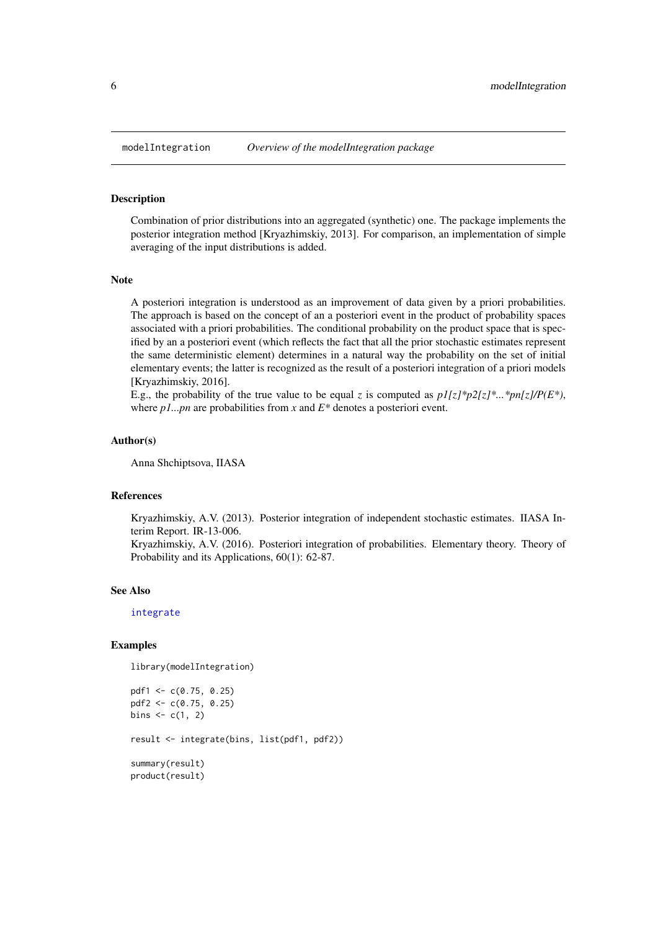<span id="page-5-0"></span>

#### Description

Combination of prior distributions into an aggregated (synthetic) one. The package implements the posterior integration method [Kryazhimskiy, 2013]. For comparison, an implementation of simple averaging of the input distributions is added.

#### Note

A posteriori integration is understood as an improvement of data given by a priori probabilities. The approach is based on the concept of an a posteriori event in the product of probability spaces associated with a priori probabilities. The conditional probability on the product space that is specified by an a posteriori event (which reflects the fact that all the prior stochastic estimates represent the same deterministic element) determines in a natural way the probability on the set of initial elementary events; the latter is recognized as the result of a posteriori integration of a priori models [Kryazhimskiy, 2016].

E.g., the probability of the true value to be equal *z* is computed as  $p1/z$ <sup>\*</sup> $p2/z$ <sup>\*</sup>...\* $p/p/z$ <sup>\*</sup> $p/z$ </sup>), where  $p1...pn$  are probabilities from *x* and  $E^*$  denotes a posteriori event.

#### Author(s)

Anna Shchiptsova, IIASA

#### References

Kryazhimskiy, A.V. (2013). Posterior integration of independent stochastic estimates. IIASA Interim Report. IR-13-006. Kryazhimskiy, A.V. (2016). Posteriori integration of probabilities. Elementary theory. Theory of

Probability and its Applications, 60(1): 62-87.

#### See Also

[integrate](#page-3-1)

#### Examples

library(modelIntegration)

```
pdf1 <- c(0.75, 0.25)
pdf2 <- c(0.75, 0.25)
bins <- c(1, 2)result <- integrate(bins, list(pdf1, pdf2))
summary(result)
product(result)
```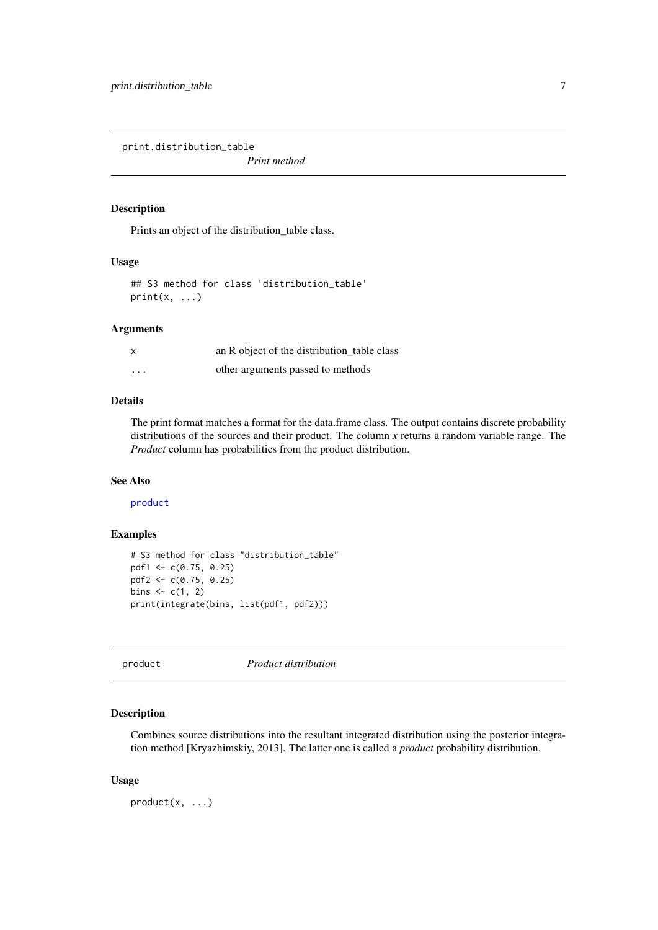<span id="page-6-0"></span>print.distribution\_table

*Print method*

#### Description

Prints an object of the distribution\_table class.

#### Usage

```
## S3 method for class 'distribution_table'
print(x, \ldots)
```
#### Arguments

| $\boldsymbol{\mathsf{x}}$ | an R object of the distribution table class |
|---------------------------|---------------------------------------------|
| $\cdots$                  | other arguments passed to methods           |

#### Details

The print format matches a format for the data.frame class. The output contains discrete probability distributions of the sources and their product. The column *x* returns a random variable range. The *Product* column has probabilities from the product distribution.

#### See Also

[product](#page-6-1)

#### Examples

```
# S3 method for class "distribution_table"
pdf1 <- c(0.75, 0.25)
pdf2 <- c(0.75, 0.25)
bins <-c(1, 2)print(integrate(bins, list(pdf1, pdf2)))
```
<span id="page-6-1"></span>product *Product distribution*

#### Description

Combines source distributions into the resultant integrated distribution using the posterior integration method [Kryazhimskiy, 2013]. The latter one is called a *product* probability distribution.

#### Usage

product(x, ...)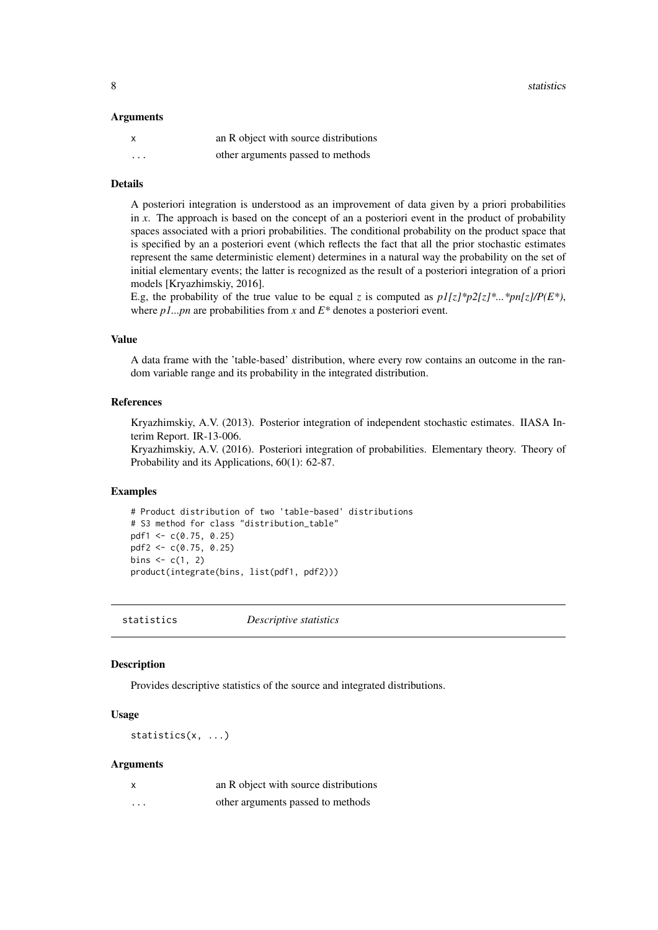#### <span id="page-7-0"></span>Arguments

| x                       | an R object with source distributions |
|-------------------------|---------------------------------------|
| $\cdot$ $\cdot$ $\cdot$ | other arguments passed to methods     |

#### Details

A posteriori integration is understood as an improvement of data given by a priori probabilities in *x*. The approach is based on the concept of an a posteriori event in the product of probability spaces associated with a priori probabilities. The conditional probability on the product space that is specified by an a posteriori event (which reflects the fact that all the prior stochastic estimates represent the same deterministic element) determines in a natural way the probability on the set of initial elementary events; the latter is recognized as the result of a posteriori integration of a priori models [Kryazhimskiy, 2016].

E.g, the probability of the true value to be equal *z* is computed as  $p1\{z\}^*p2\{z\}^*...*pn\{z\}/P(E^*)$ , where *p1...pn* are probabilities from *x* and *E\** denotes a posteriori event.

#### Value

A data frame with the 'table-based' distribution, where every row contains an outcome in the random variable range and its probability in the integrated distribution.

#### References

Kryazhimskiy, A.V. (2013). Posterior integration of independent stochastic estimates. IIASA Interim Report. IR-13-006.

Kryazhimskiy, A.V. (2016). Posteriori integration of probabilities. Elementary theory. Theory of Probability and its Applications, 60(1): 62-87.

#### Examples

```
# Product distribution of two 'table-based' distributions
# S3 method for class "distribution_table"
pdf1 <- c(0.75, 0.25)
pdf2 <- c(0.75, 0.25)
bins \leq c(1, 2)product(integrate(bins, list(pdf1, pdf2)))
```
<span id="page-7-1"></span>statistics *Descriptive statistics*

#### Description

Provides descriptive statistics of the source and integrated distributions.

#### Usage

statistics(x, ...)

#### Arguments

| X        | an R object with source distributions |
|----------|---------------------------------------|
| $\cdots$ | other arguments passed to methods     |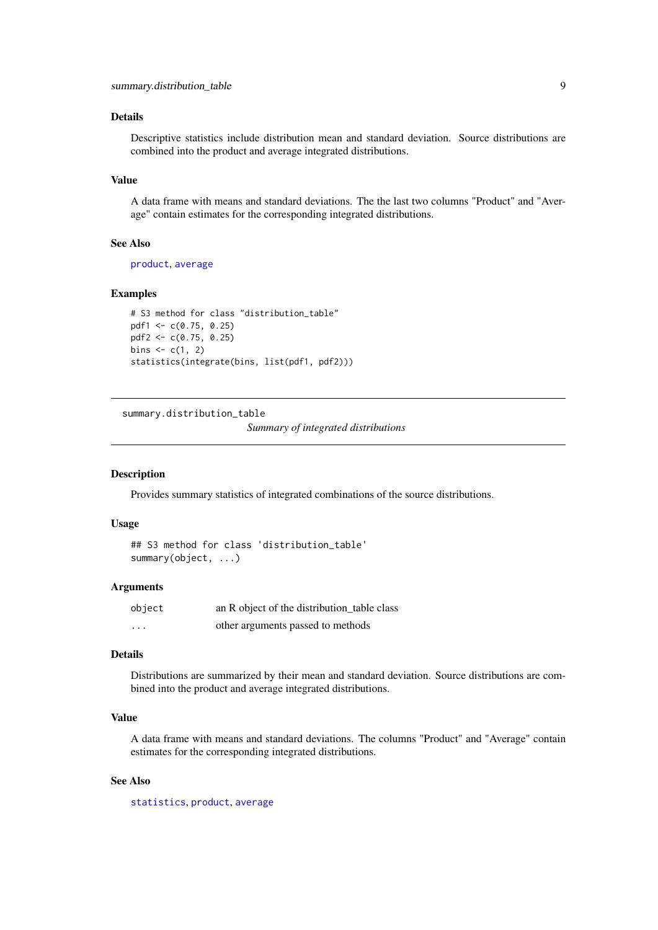#### <span id="page-8-0"></span>Details

Descriptive statistics include distribution mean and standard deviation. Source distributions are combined into the product and average integrated distributions.

#### Value

A data frame with means and standard deviations. The the last two columns "Product" and "Average" contain estimates for the corresponding integrated distributions.

#### See Also

[product](#page-6-1), [average](#page-1-1)

#### Examples

```
# S3 method for class "distribution table"
pdf1 <- c(0.75, 0.25)
pdf2 <- c(0.75, 0.25)
bins <- c(1, 2)statistics(integrate(bins, list(pdf1, pdf2)))
```
<span id="page-8-1"></span>summary.distribution\_table

*Summary of integrated distributions*

#### Description

Provides summary statistics of integrated combinations of the source distributions.

#### Usage

```
## S3 method for class 'distribution_table'
summary(object, ...)
```
#### Arguments

| object   | an R object of the distribution table class |
|----------|---------------------------------------------|
| $\cdots$ | other arguments passed to methods           |

#### Details

Distributions are summarized by their mean and standard deviation. Source distributions are combined into the product and average integrated distributions.

#### Value

A data frame with means and standard deviations. The columns "Product" and "Average" contain estimates for the corresponding integrated distributions.

#### See Also

[statistics](#page-7-1), [product](#page-6-1), [average](#page-1-1)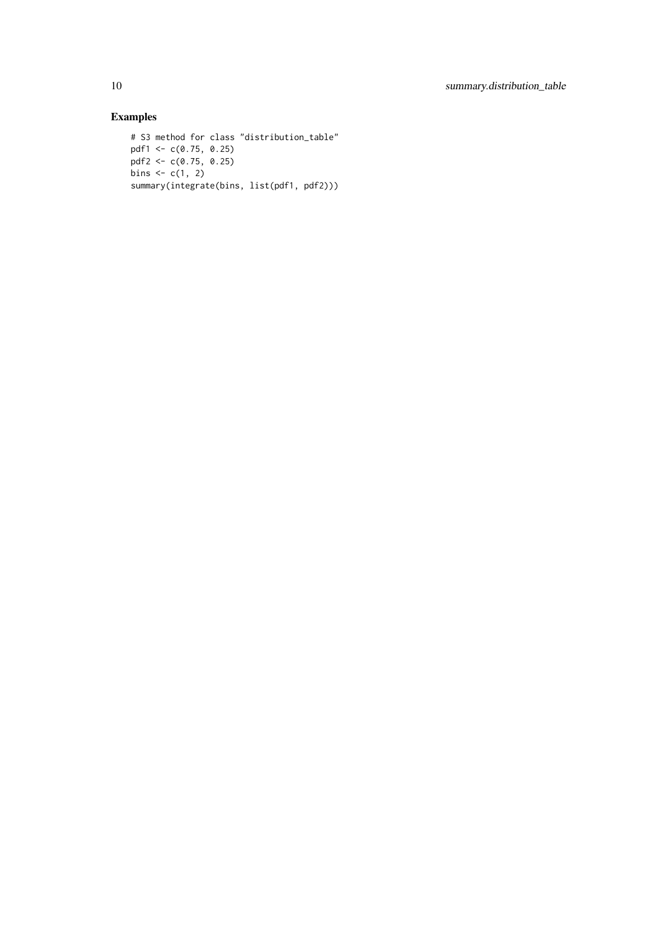#### Examples

```
# S3 method for class "distribution_table"
pdf1 <- c(0.75, 0.25)
pdf2 <- c(0.75, 0.25)
bins <-c(1, 2)summary(integrate(bins, list(pdf1, pdf2)))
```